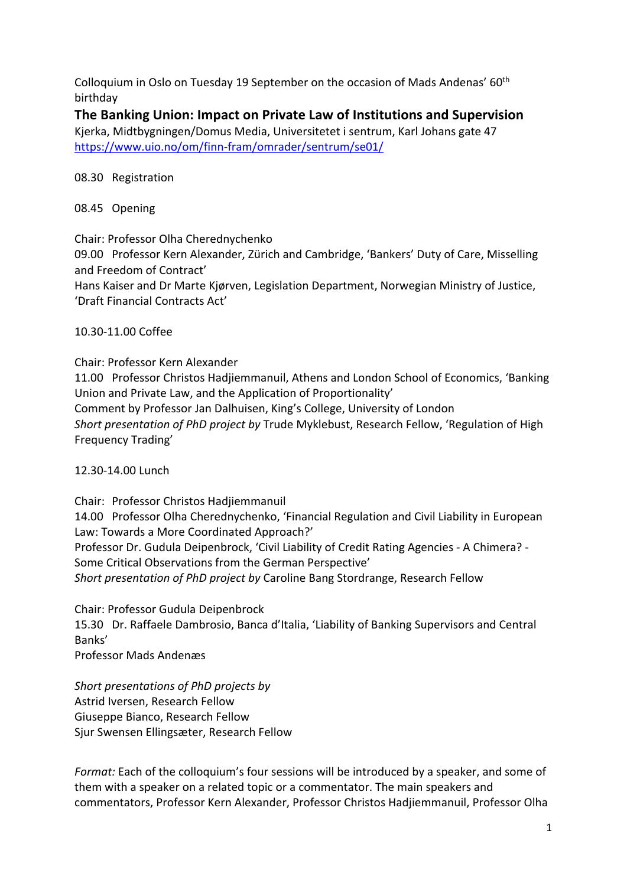Colloquium in Oslo on Tuesday 19 September on the occasion of Mads Andenas' 60th birthday

# **The Banking Union: Impact on Private Law of Institutions and Supervision**

Kjerka, Midtbygningen/Domus Media, Universitetet i sentrum, Karl Johans gate 47 https://www.uio.no/om/finn‐fram/omrader/sentrum/se01/

## 08.30 Registration

#### 08.45 Opening

Chair: Professor Olha Cherednychenko

09.00 Professor Kern Alexander, Zürich and Cambridge, 'Bankers' Duty of Care, Misselling and Freedom of Contract'

Hans Kaiser and Dr Marte Kjørven, Legislation Department, Norwegian Ministry of Justice, 'Draft Financial Contracts Act'

#### 10.30‐11.00 Coffee

Chair: Professor Kern Alexander

11.00 Professor Christos Hadjiemmanuil, Athens and London School of Economics, 'Banking Union and Private Law, and the Application of Proportionality' Comment by Professor Jan Dalhuisen, King's College, University of London *Short presentation of PhD project by* Trude Myklebust, Research Fellow, 'Regulation of High

Frequency Trading'

## 12.30‐14.00 Lunch

Chair: Professor Christos Hadjiemmanuil 14.00 Professor Olha Cherednychenko, 'Financial Regulation and Civil Liability in European Law: Towards a More Coordinated Approach?' Professor Dr. Gudula Deipenbrock, 'Civil Liability of Credit Rating Agencies ‐ A Chimera? ‐ Some Critical Observations from the German Perspective' *Short presentation of PhD project by* Caroline Bang Stordrange, Research Fellow

Chair: Professor Gudula Deipenbrock 15.30 Dr. Raffaele Dambrosio, Banca d'Italia, 'Liability of Banking Supervisors and Central Banks'

Professor Mads Andenæs

*Short presentations of PhD projects by* Astrid Iversen, Research Fellow Giuseppe Bianco, Research Fellow Sjur Swensen Ellingsæter, Research Fellow

*Format:* Each of the colloquium's four sessions will be introduced by a speaker, and some of them with a speaker on a related topic or a commentator. The main speakers and commentators, Professor Kern Alexander, Professor Christos Hadjiemmanuil, Professor Olha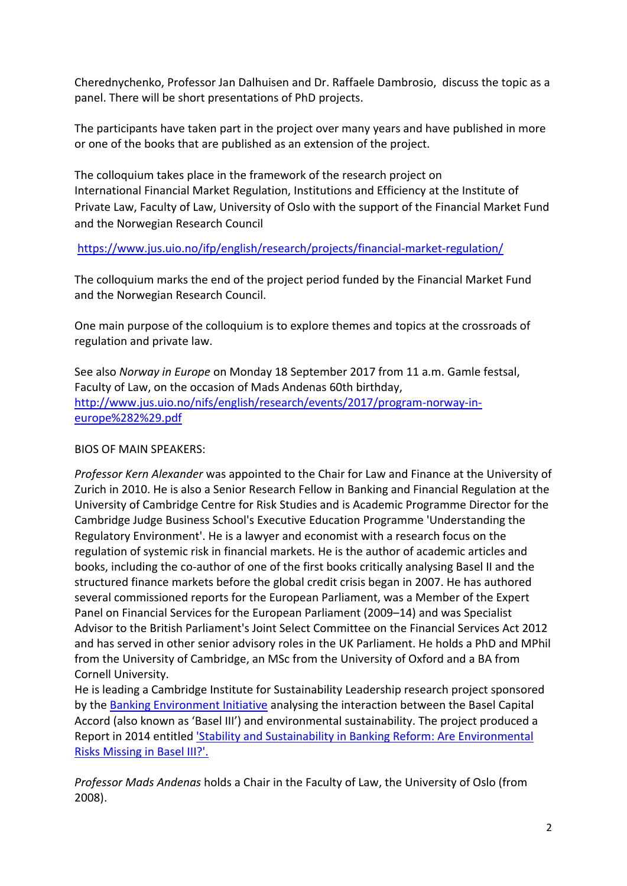Cherednychenko, Professor Jan Dalhuisen and Dr. Raffaele Dambrosio, discuss the topic as a panel. There will be short presentations of PhD projects.

The participants have taken part in the project over many years and have published in more or one of the books that are published as an extension of the project.

The colloquium takes place in the framework of the research project on International Financial Market Regulation, Institutions and Efficiency at the Institute of Private Law, Faculty of Law, University of Oslo with the support of the Financial Market Fund and the Norwegian Research Council

https://www.jus.uio.no/ifp/english/research/projects/financial-market-regulation/

The colloquium marks the end of the project period funded by the Financial Market Fund and the Norwegian Research Council.

One main purpose of the colloquium is to explore themes and topics at the crossroads of regulation and private law.

See also *Norway in Europe* on Monday 18 September 2017 from 11 a.m. Gamle festsal, Faculty of Law, on the occasion of Mads Andenas 60th birthday, http://www.jus.uio.no/nifs/english/research/events/2017/program-norway-ineurope%282%29.pdf

## BIOS OF MAIN SPEAKERS:

*Professor Kern Alexander* was appointed to the Chair for Law and Finance at the University of Zurich in 2010. He is also a Senior Research Fellow in Banking and Financial Regulation at the University of Cambridge Centre for Risk Studies and is Academic Programme Director for the Cambridge Judge Business School's Executive Education Programme 'Understanding the Regulatory Environment'. He is a lawyer and economist with a research focus on the regulation of systemic risk in financial markets. He is the author of academic articles and books, including the co-author of one of the first books critically analysing Basel II and the structured finance markets before the global credit crisis began in 2007. He has authored several commissioned reports for the European Parliament, was a Member of the Expert Panel on Financial Services for the European Parliament (2009–14) and was Specialist Advisor to the British Parliament's Joint Select Committee on the Financial Services Act 2012 and has served in other senior advisory roles in the UK Parliament. He holds a PhD and MPhil from the University of Cambridge, an MSc from the University of Oxford and a BA from Cornell University.

He is leading a Cambridge Institute for Sustainability Leadership research project sponsored by the Banking Environment Initiative analysing the interaction between the Basel Capital Accord (also known as 'Basel III') and environmental sustainability. The project produced a Report in 2014 entitled 'Stability and Sustainability in Banking Reform: Are Environmental Risks Missing in Basel III?'.

*Professor Mads Andenas* holds a Chair in the Faculty of Law, the University of Oslo (from 2008).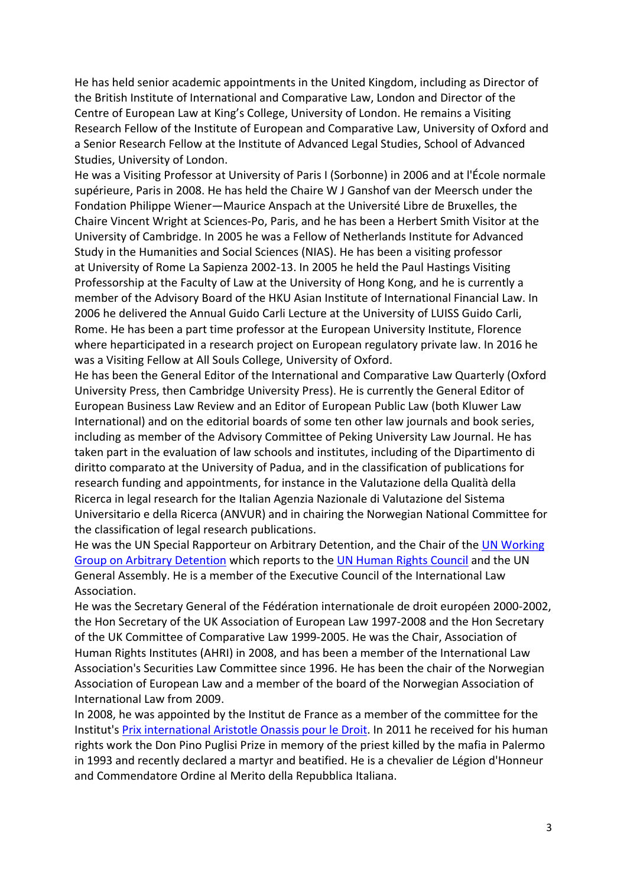He has held senior academic appointments in the United Kingdom, including as Director of the British Institute of International and Comparative Law, London and Director of the Centre of European Law at King's College, University of London. He remains a Visiting Research Fellow of the Institute of European and Comparative Law, University of Oxford and a Senior Research Fellow at the Institute of Advanced Legal Studies, School of Advanced Studies, University of London.

He was a Visiting Professor at University of Paris I (Sorbonne) in 2006 and at l'École normale supérieure, Paris in 2008. He has held the Chaire W J Ganshof van der Meersch under the Fondation Philippe Wiener—Maurice Anspach at the Université Libre de Bruxelles, the Chaire Vincent Wright at Sciences‐Po, Paris, and he has been a Herbert Smith Visitor at the University of Cambridge. In 2005 he was a Fellow of Netherlands Institute for Advanced Study in the Humanities and Social Sciences (NIAS). He has been a visiting professor at University of Rome La Sapienza 2002‐13. In 2005 he held the Paul Hastings Visiting Professorship at the Faculty of Law at the University of Hong Kong, and he is currently a member of the Advisory Board of the HKU Asian Institute of International Financial Law. In 2006 he delivered the Annual Guido Carli Lecture at the University of LUISS Guido Carli, Rome. He has been a part time professor at the European University Institute, Florence where heparticipated in a research project on European regulatory private law. In 2016 he was a Visiting Fellow at All Souls College, University of Oxford.

He has been the General Editor of the International and Comparative Law Quarterly (Oxford University Press, then Cambridge University Press). He is currently the General Editor of European Business Law Review and an Editor of European Public Law (both Kluwer Law International) and on the editorial boards of some ten other law journals and book series, including as member of the Advisory Committee of Peking University Law Journal. He has taken part in the evaluation of law schools and institutes, including of the Dipartimento di diritto comparato at the University of Padua, and in the classification of publications for research funding and appointments, for instance in the Valutazione della Qualità della Ricerca in legal research for the Italian Agenzia Nazionale di Valutazione del Sistema Universitario e della Ricerca (ANVUR) and in chairing the Norwegian National Committee for the classification of legal research publications.

He was the UN Special Rapporteur on Arbitrary Detention, and the Chair of the UN Working Group on Arbitrary Detention which reports to the UN Human Rights Council and the UN General Assembly. He is a member of the Executive Council of the International Law Association.

He was the Secretary General of the Fédération internationale de droit européen 2000‐2002, the Hon Secretary of the UK Association of European Law 1997‐2008 and the Hon Secretary of the UK Committee of Comparative Law 1999‐2005. He was the Chair, Association of Human Rights Institutes (AHRI) in 2008, and has been a member of the International Law Association's Securities Law Committee since 1996. He has been the chair of the Norwegian Association of European Law and a member of the board of the Norwegian Association of International Law from 2009.

In 2008, he was appointed by the Institut de France as a member of the committee for the Institut's Prix international Aristotle Onassis pour le Droit. In 2011 he received for his human rights work the Don Pino Puglisi Prize in memory of the priest killed by the mafia in Palermo in 1993 and recently declared a martyr and beatified. He is a chevalier de Légion d'Honneur and Commendatore Ordine al Merito della Repubblica Italiana.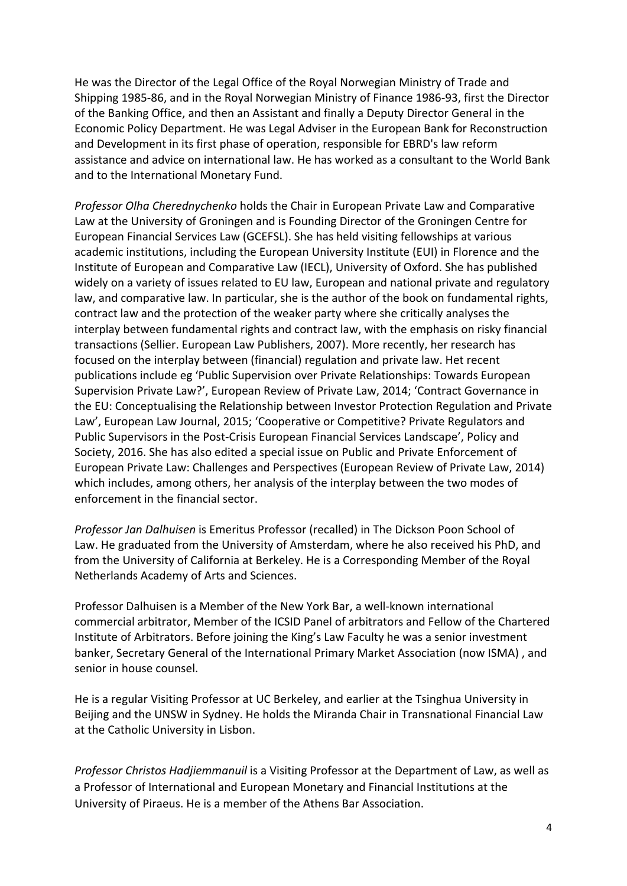He was the Director of the Legal Office of the Royal Norwegian Ministry of Trade and Shipping 1985‐86, and in the Royal Norwegian Ministry of Finance 1986‐93, first the Director of the Banking Office, and then an Assistant and finally a Deputy Director General in the Economic Policy Department. He was Legal Adviser in the European Bank for Reconstruction and Development in its first phase of operation, responsible for EBRD's law reform assistance and advice on international law. He has worked as a consultant to the World Bank and to the International Monetary Fund.

*Professor Olha Cherednychenko* holds the Chair in European Private Law and Comparative Law at the University of Groningen and is Founding Director of the Groningen Centre for European Financial Services Law (GCEFSL). She has held visiting fellowships at various academic institutions, including the European University Institute (EUI) in Florence and the Institute of European and Comparative Law (IECL), University of Oxford. She has published widely on a variety of issues related to EU law, European and national private and regulatory law, and comparative law. In particular, she is the author of the book on fundamental rights, contract law and the protection of the weaker party where she critically analyses the interplay between fundamental rights and contract law, with the emphasis on risky financial transactions (Sellier. European Law Publishers, 2007). More recently, her research has focused on the interplay between (financial) regulation and private law. Het recent publications include eg 'Public Supervision over Private Relationships: Towards European Supervision Private Law?', European Review of Private Law, 2014; 'Contract Governance in the EU: Conceptualising the Relationship between Investor Protection Regulation and Private Law', European Law Journal, 2015; 'Cooperative or Competitive? Private Regulators and Public Supervisors in the Post‐Crisis European Financial Services Landscape', Policy and Society, 2016. She has also edited a special issue on Public and Private Enforcement of European Private Law: Challenges and Perspectives (European Review of Private Law, 2014) which includes, among others, her analysis of the interplay between the two modes of enforcement in the financial sector.

*Professor Jan Dalhuisen* is Emeritus Professor (recalled) in The Dickson Poon School of Law. He graduated from the University of Amsterdam, where he also received his PhD, and from the University of California at Berkeley. He is a Corresponding Member of the Royal Netherlands Academy of Arts and Sciences.

Professor Dalhuisen is a Member of the New York Bar, a well‐known international commercial arbitrator, Member of the ICSID Panel of arbitrators and Fellow of the Chartered Institute of Arbitrators. Before joining the King's Law Faculty he was a senior investment banker, Secretary General of the International Primary Market Association (now ISMA) , and senior in house counsel.

He is a regular Visiting Professor at UC Berkeley, and earlier at the Tsinghua University in Beijing and the UNSW in Sydney. He holds the Miranda Chair in Transnational Financial Law at the Catholic University in Lisbon.

*Professor Christos Hadjiemmanuil* is a Visiting Professor at the Department of Law, as well as a Professor of International and European Monetary and Financial Institutions at the University of Piraeus. He is a member of the Athens Bar Association.